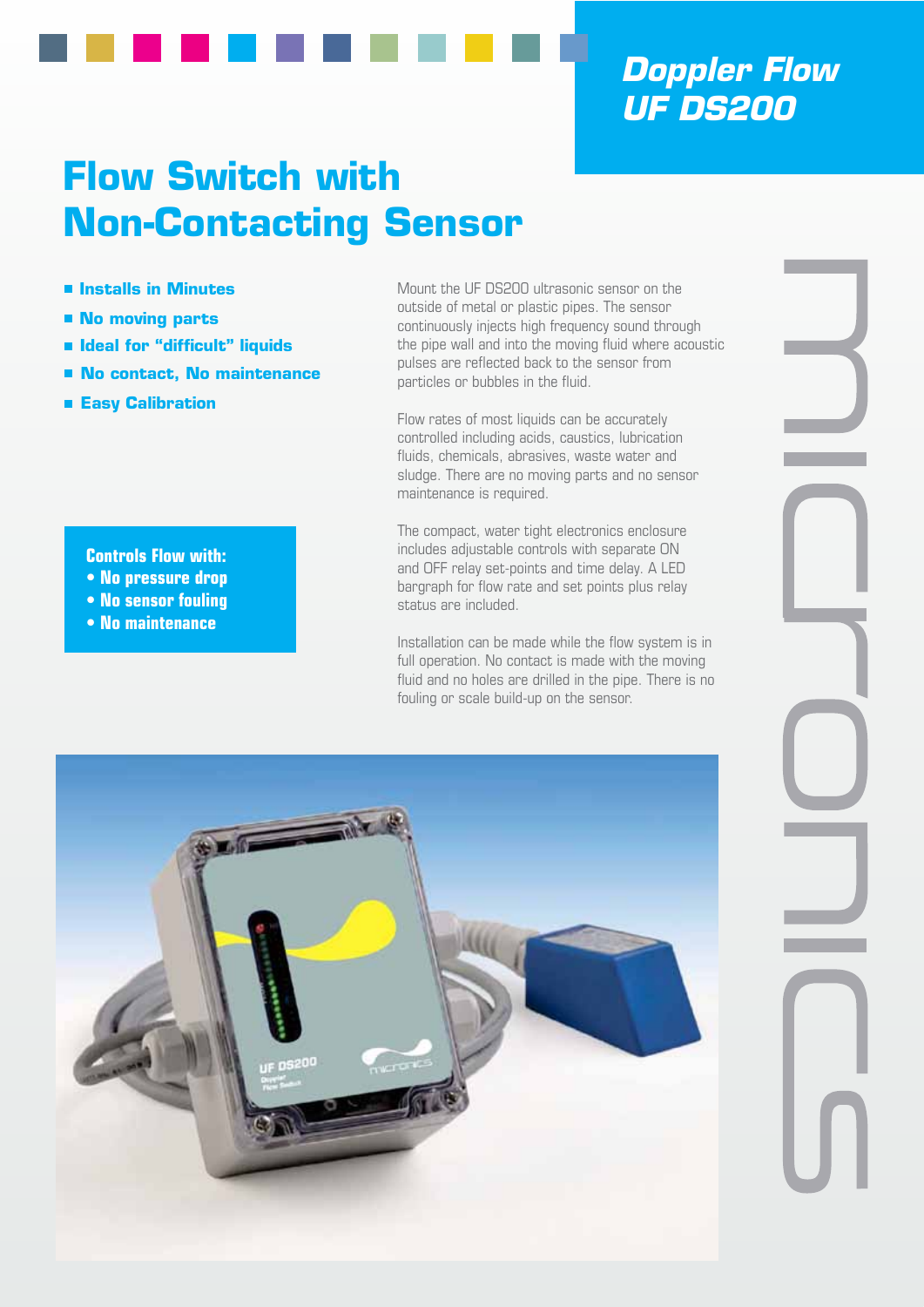# *Doppler Flow UF DS200*

# **Flow Switch with Non-Contacting Sensor**

- **Installs in Minutes**
- **No moving parts**
- **Ideal for "difficult" liquids**
- **No contact, No maintenance**
- **Easy Calibration**

**Controls Flow with: • No pressure drop • No sensor fouling • No maintenance**

Mount the UF DS200 ultrasonic sensor on the outside of metal or plastic pipes. The sensor continuously injects high frequency sound through the pipe wall and into the moving fluid where acoustic pulses are reflected back to the sensor from particles or bubbles in the fluid.

Flow rates of most liquids can be accurately controlled including acids, caustics, lubrication fluids, chemicals, abrasives, waste water and sludge. There are no moving parts and no sensor maintenance is required.

The compact, water tight electronics enclosure includes adjustable controls with separate ON and OFF relay set-points and time delay. A LED bargraph for flow rate and set points plus relay status are included.

Installation can be made while the flow system is in full operation. No contact is made with the moving fluid and no holes are drilled in the pipe. There is no fouling or scale build-up on the sensor.

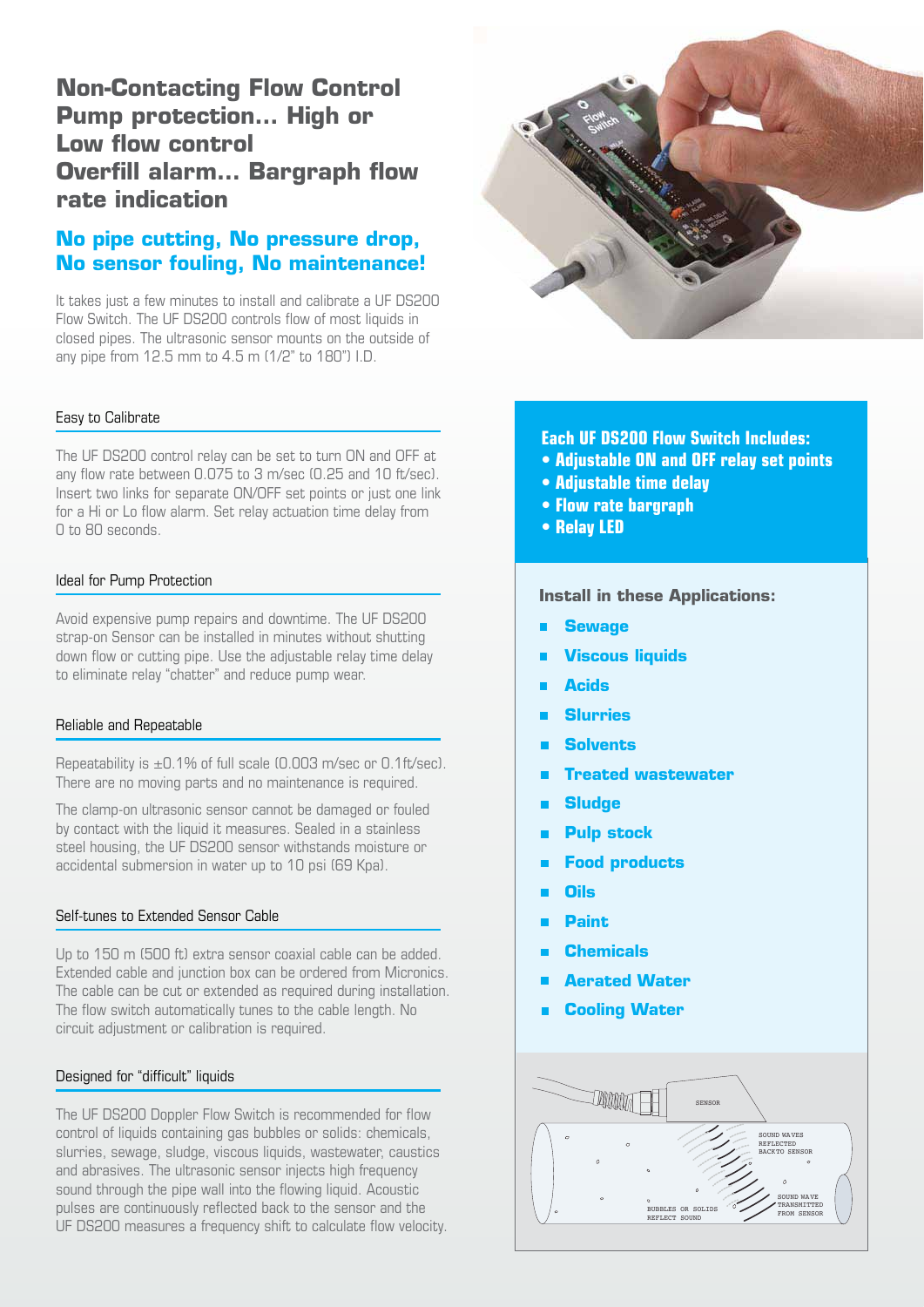## **Non-Contacting Flow Control Pump protection… High or Low flow control Overfill alarm… Bargraph flow rate indication**

### **No pipe cutting, No pressure drop, No sensor fouling, No maintenance!**

It takes just a few minutes to install and calibrate a UF DS200 Flow Switch. The UF DS200 controls flow of most liquids in closed pipes. The ultrasonic sensor mounts on the outside of any pipe from 12.5 mm to 4.5 m (1/2" to 180") I.D.

#### Easy to Calibrate

The UF DS200 control relay can be set to turn ON and OFF at any flow rate between 0.075 to 3 m/sec (0.25 and 10 ft/sec). Insert two links for separate ON/OFF set points or just one link for a Hi or Lo flow alarm. Set relay actuation time delay from 0 to 80 seconds.

#### Ideal for Pump Protection

Avoid expensive pump repairs and downtime. The UF DS200 strap-on Sensor can be installed in minutes without shutting down flow or cutting pipe. Use the adjustable relay time delay to eliminate relay "chatter" and reduce pump wear.

#### Reliable and Repeatable

Repeatability is  $\pm$ 0.1% of full scale (0.003 m/sec or 0.1ft/sec). There are no moving parts and no maintenance is required.

The clamp-on ultrasonic sensor cannot be damaged or fouled by contact with the liquid it measures. Sealed in a stainless steel housing, the UF DS200 sensor withstands moisture or accidental submersion in water up to 10 psi (69 Kpa).

#### Self-tunes to Extended Sensor Cable

Up to 150 m (500 ft) extra sensor coaxial cable can be added. Extended cable and junction box can be ordered from Micronics. The cable can be cut or extended as required during installation. The flow switch automatically tunes to the cable length. No circuit adjustment or calibration is required.

#### Designed for "difficult" liquids

The UF DS200 Doppler Flow Switch is recommended for flow control of liquids containing gas bubbles or solids: chemicals, slurries, sewage, sludge, viscous liquids, wastewater, caustics and abrasives. The ultrasonic sensor injects high frequency sound through the pipe wall into the flowing liquid. Acoustic pulses are continuously reflected back to the sensor and the UF DS200 measures a frequency shift to calculate flow velocity.



**Each UF DS200 Flow Switch Includes:**

- **Adjustable ON and OFF relay set points**
- **Adjustable time delay**
- **Flow rate bargraph**
- **Relay LED**

**Install in these Applications:**

- **Sewage**
- **Viscous liquids**
- **Acids**
- **Slurries**
- **Solvents**
- **Treated wastewater**
- **Sludge**
- **Pulp stock**
- **Food products**
- **Oils**
- **Paint**
- **Chemicals**
- **Aerated Water**
- **Cooling Water**

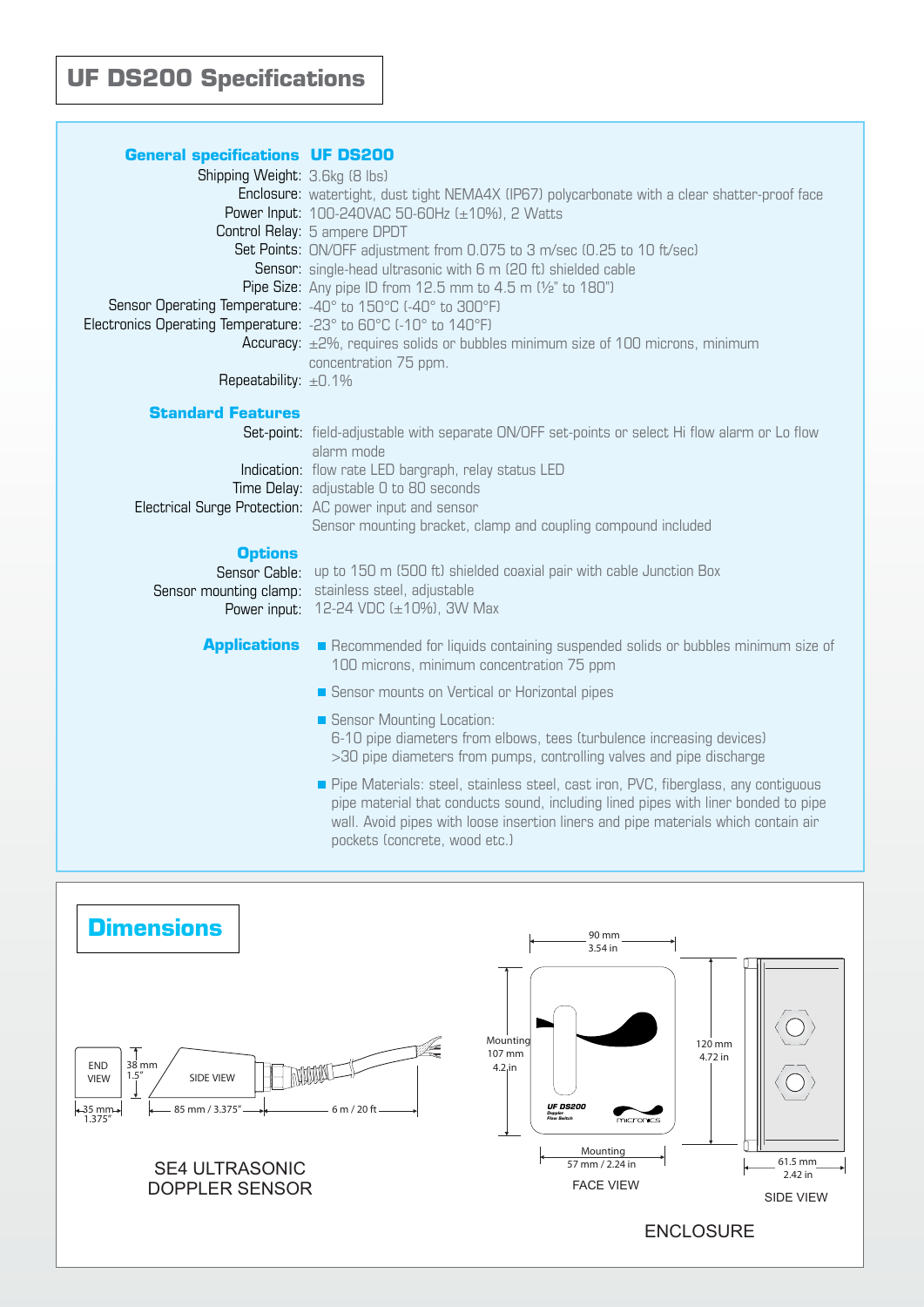| <b>General specifications UF DS200</b><br>Shipping Weight: 3.6kg (8 lbs)<br>Sensor Operating Temperature: -40° to 150°C (-40° to 300°F)<br>Electronics Operating Temperature: -23° to 60°C (-10° to 140°F)<br>Repeatability: ±0.1% | Enclosure: watertight, dust tight NEMA4X (IP67) polycarbonate with a clear shatter-proof face<br>Power Input: 100-240VAC 50-60Hz (±10%), 2 Watts<br>Control Relay: 5 ampere DPDT<br>Set Points: ON/OFF adjustment from 0.075 to 3 m/sec (0.25 to 10 ft/sec)<br><b>Sensor:</b> single-head ultrasonic with 6 m (20 ft) shielded cable<br>Pipe Size: Any pipe ID from 12.5 mm to 4.5 m (1/2" to 180")<br>Accuracy: ±2%, requires solids or bubbles minimum size of 100 microns, minimum<br>concentration 75 ppm. |
|------------------------------------------------------------------------------------------------------------------------------------------------------------------------------------------------------------------------------------|----------------------------------------------------------------------------------------------------------------------------------------------------------------------------------------------------------------------------------------------------------------------------------------------------------------------------------------------------------------------------------------------------------------------------------------------------------------------------------------------------------------|
| <b>Standard Features</b>                                                                                                                                                                                                           | Set-point: field-adjustable with separate ON/OFF set-points or select Hi flow alarm or Lo flow                                                                                                                                                                                                                                                                                                                                                                                                                 |
|                                                                                                                                                                                                                                    | alarm mode<br>Indication: flow rate LED bargraph, relay status LED<br>Time Delay: adjustable 0 to 80 seconds<br>Electrical Surge Protection: AC power input and sensor<br>Sensor mounting bracket, clamp and coupling compound included                                                                                                                                                                                                                                                                        |
| <b>Options</b><br>Sensor Cable:<br>Sensor mounting clamp:<br>Power input:                                                                                                                                                          | up to 150 m (500 ft) shielded coaxial pair with cable Junction Box<br>stainless steel, adjustable<br>12-24 VDC (±10%), 3W Max                                                                                                                                                                                                                                                                                                                                                                                  |
| <b>Applications</b>                                                                                                                                                                                                                | Recommended for liquids containing suspended solids or bubbles minimum size of<br>100 microns, minimum concentration 75 ppm                                                                                                                                                                                                                                                                                                                                                                                    |
|                                                                                                                                                                                                                                    | Sensor mounts on Vertical or Horizontal pipes                                                                                                                                                                                                                                                                                                                                                                                                                                                                  |
|                                                                                                                                                                                                                                    | Sensor Mounting Location:<br>6-10 pipe diameters from elbows, tees (turbulence increasing devices)<br>>30 pipe diameters from pumps, controlling valves and pipe discharge                                                                                                                                                                                                                                                                                                                                     |
|                                                                                                                                                                                                                                    | Pipe Materials: steel, stainless steel, cast iron, PVC, fiberglass, any contiguous<br>pipe material that conducts sound, including lined pipes with liner bonded to pipe<br>wall. Avoid pipes with loose insertion liners and pipe materials which contain air<br>pockets (concrete, wood etc.)                                                                                                                                                                                                                |
|                                                                                                                                                                                                                                    |                                                                                                                                                                                                                                                                                                                                                                                                                                                                                                                |
| <b>Dimensions</b>                                                                                                                                                                                                                  | 90 mm<br>3.54 in                                                                                                                                                                                                                                                                                                                                                                                                                                                                                               |